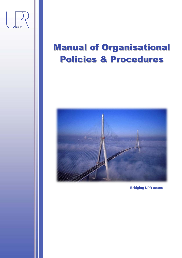

# Manual of Organisational Policies & Procedures



**Bridging UPR actors**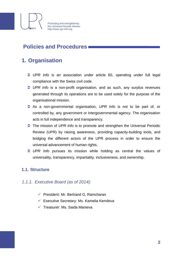

### **Policies and Procedures**

### **1. Organisation**

- *UPR Info* is an association under article 60, operating under full legal compliance with the Swiss civil code.
- *UPR Info* is a non-profit organisation, and as such, any surplus revenues generated through its operations are to be used solely for the purpose of the organisational mission.
- As a non-governmental organisation, *UPR Info* is not to be part of, or controlled by, any government or intergovernmental agency. The organisation acts in full independence and transparency.
- The mission of *UPR Info* is to promote and strengthen the Universal Periodic Review (UPR) by raising awareness, providing capacity-building tools, and bridging the different actors of the UPR process in order to ensure the universal advancement of human rights.
- *UPR Info* pursues its mission while holding as central the values of universality, transparency, impartiality, inclusiveness, and ownership.

#### **1.1. Structure**

#### *1.1.1. Executive Board (as of 2014):*

- $\checkmark$  President: Mr. Bertrand G. Ramcharan
- $\checkmark$  Executive Secretary: Ms. Kamelia Kemileva
- $\checkmark$  Treasurer: Ms. Saida Manieva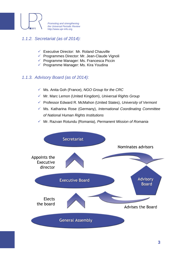

#### *1.1.2. Secretariat (as of 2014):*

- $\checkmark$  Executive Director: Mr. Roland Chauville
- $\checkmark$  Programmes Director: Mr. Jean-Claude Vignoli
- $\checkmark$  Programme Manager: Ms. Francesca Piccin
- $\checkmark$  Programme Manager: Ms. Kira Youdina

#### *1.1.3. Advisory Board (as of 2014):*

- Ms. Anita Goh (France), *NGO Group for the CRC*
- Mr. Marc Lemon (United Kingdom), *Universal Rights Group*
- Professor Edward R. McMahon (United States), *University of Vermont*
- Ms. Katharina Rose (Germany), *International Coordinating Committee of National Human Rights Institutions*
- Mr. Razvan Rotundu (Romania), *Permanent Mission of Romania*

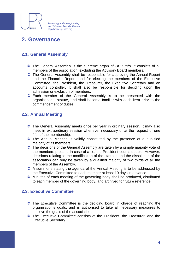

### **2. Governance**

#### **2.1. General Assembly**

- The General Assembly is the supreme organ of *UPR Info*. It consists of all members of the association, excluding the Advisory Board members.
- The General Assembly shall be responsible for approving the Annual Report and the Financial Report, and for electing the members of the Executive Committee, the President, the Treasurer, the Executive Secretary and an accounts controller. It shall also be responsible for deciding upon the admission or exclusion of members.
- **Each member of the General Assembly is to be presented with the** organisational statute, and shall become familiar with each item prior to the commencement of duties.

#### **2.2. Annual Meeting**

- The General Assembly meets once per year in ordinary session. It may also meet in extraordinary session whenever necessary or at the request of one fifth of the membership.
- $\supset$  The Annual Meeting is validly constituted by the presence of a qualified majority of its members.
- $\supset$  The decisions of the General Assembly are taken by a simple majority vote of the members present. In case of a tie, the President counts double. However, decisions relating to the modification of the statutes and the dissolution of the association can only be taken by a qualified majority of two thirds of all the members of the Assembly.
- **→** A summons stating the agenda of the Annual Meeting is to be addressed by the Executive Committee to each member at least 10 days in advance.
- $\supset$  Minutes of each meeting of the governing body shall be produced, distributed to each member of the governing body, and archived for future reference.

#### **2.3. Executive Committee**

- $\supset$  The Executive Committee is the deciding board in charge of reaching the organisation's goals, and is authorised to take all necessary measures to achieve the goals of the association.
- The Executive Committee consists of the President, the Treasurer, and the Executive Secretary.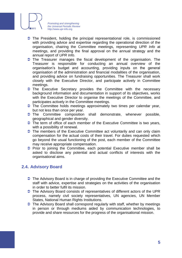

- $\supset$  The President, holding the principal representational role, is commissioned with providing advice and expertise regarding the operational direction of the organisation, chairing the Committee meetings, representing *UPR Info* at meetings, and providing the final approval on the annual strategy and the annual report of *UPR Info*.
- $\supset$  The Treasurer manages the fiscal development of the organisation. The Treasurer is responsible for conducting an annual overview of the organisation's budget and accounting, providing inputs on the general organisation of the administration and financial modalities of the organisation, and providing advice on fundraising opportunities. The Treasurer shall work closely with the Executive Director, and participate actively in Committee meetings.
- $\supset$  The Executive Secretary provides the Committee with the necessary background information and documentation in support of its objectives, works with the Executive Director to organise the meetings of the Committee, and participates actively in the Committee meetings.
- $\supset$  The Committee holds meetings approximately two times per calendar year, but not less than once per year.
- The Committee composition shall demonstrate, whenever possible, geographical and gender diversity.
- $\supset$  The term of office of each member of the Executive Committee is two years, with a possibility of renewal.
- $\supset$  The members of the Executive Committee act voluntarily and can only claim compensation for the actual costs of their travel. For duties requested which go beyond the usual functioning of the post, each member of the Committee may receive appropriate compensation.
- $\supset$  Prior to joining the Committee, each potential Executive member shall be asked to disclose any potential and actual conflicts of interests with the organisational aims.

#### **2.4. Advisory Board**

- **◯** The Advisory Board is in charge of providing the Executive Committee and the staff with advice, expertise and strategies on the activities of the organisation in order to better fulfil its mission.
- The Advisory Board consists of representatives of different actors of the UPR process, namely civil society representatives, UN agencies, UN Member States, National Human Rights Institutions.
- $\supset$  The Advisory Board shall correspond regularly with staff, whether by meetings in person or through mediums aided by communication technologies, to provide and share resources for the progress of the organisational mission.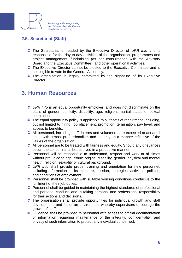

#### **2.5. Secretariat (Staff)**

- The Secretariat is headed by the Executive Director of *UPR Info* and is responsible for the day-to-day activities of the organisation, programmes and project management, fundraising (as per consultations with the Advisory Board and the Executive Committee), and other operational activities.
- The Executive Director cannot be elected to the Executive Committee and is not eligible to vote in the General Assembly.
- $\supset$  The organisation is legally committed by the signature of its Executive Director.

### **3. Human Resources**

- *UPR Info* is an equal opportunity employer, and does not discriminate on the basis of gender, ethnicity, disability, age, religion, marital status or sexual orientation.
- $\supset$  The equal opportunity policy is applicable to all facets of recruitment, including, but not limited to hiring, job placement, promotion, termination, pay level, and access to benefits.
- All personnel, including staff, interns and volunteers, are expected to act at all times with utmost professionalism and integrity, in a manner reflective of the values of the organisation.
- All personnel are to be treated with fairness and equity. Should any grievances occur, the concern shall be resolved in a productive manner.
- **Personnel will be responsible to understand, respect and work at all times** without prejudice to age, ethnic origins, disability, gender, physical and mental health, religion, sexuality or cultural background.
- *UPR Info* shall provide proper training and orientation for new personnel, including information on its structure, mission, strategies, activities, policies, and conditions of employment.
- $\supset$  Personnel shall be provided with suitable working conditions conducive to the fulfilment of their job duties.
- **Personnel shall be guided in maintaining the highest standards of professional** and personal conduct, and in taking personal and professional responsibility for their actions and decisions.
- $\supset$  The organisation shall provide opportunities for individual growth and staff development, and foster an environment whereby supervisors encourage the growth of staff.
- Guidance shall be provided to personnel with access to official documentation or information regarding maintenance of the integrity, confidentiality, and privacy of such information to protect any individual concerned.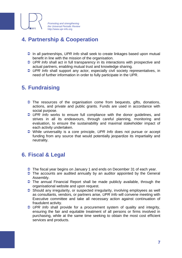

### **4. Partnership & Cooperation**

- In all partnerships, *UPR Info* shall seek to create linkages based upon mutual benefit in line with the mission of the organisation.
- *UPR Info* shall act in full transparency in its interactions with prospective and actual partners, enabling mutual trust and knowledge sharing.
- *UPR Info* shall support any actor, especially civil society representatives, in need of further information in order to fully participate in the UPR.

### **5. Fundraising**

- $\supset$  The resources of the organisation come from bequests, gifts, donations, actions, and private and public grants. Funds are used in accordance with social purpose.
- *UPR Info* works to ensure full compliance with the donor guidelines, and strives in all its endeavours, through careful planning, monitoring and evaluation, to ensure the sustainability and maximal stakeholder impact of each activity undertaken.
- While universality is a core principle, *UPR Info* does not pursue or accept funding from any source that would potentially jeopardize its impartiality and neutrality.

### **6. Fiscal & Legal**

- The fiscal year begins on January 1 and ends on December 31 of each year.
- $\supset$  The accounts are audited annually by an auditor appointed by the General Assembly.
- $\supset$  The annual Financial Report shall be made publicly available, through the organisational website and upon request.
- Should any irregularity, or suspected irregularity, involving employees as well as consultants, vendors, or partners arise, *UPR Info* will convene meeting with Executive committee and take all necessary action against continuation of fraudulent activity.
- *UPR Info* shall provide for a procurement system of quality and integrity, ensuring the fair and equitable treatment of all persons or firms involved in purchasing, while at the same time seeking to obtain the most cost efficient services and products.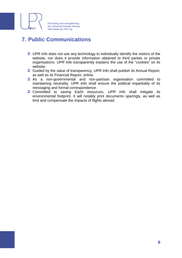

### **7. Public Communications**

- **■** UPR Info does not use any technology to individually identify the visitors of the website, nor does it provide information obtained to third parties or private organisations. *UPR Info* transparently explains the use of the "cookies" on its website.
- Guided by the value of transparency, *UPR Info* shall publish its Annual Report, as well as its Financial Report, online.
- **As a non-governmental and non-partisan organisation committed to** maintaining neutrality, *UPR Info* shall ensure the political impartiality of its messaging and formal correspondence.
- Committed to saving Earth resources, *UPR Info* shall mitigate its environmental footprint. It will notably print documents sparingly, as well as limit and compensate the impacts of flights abroad.